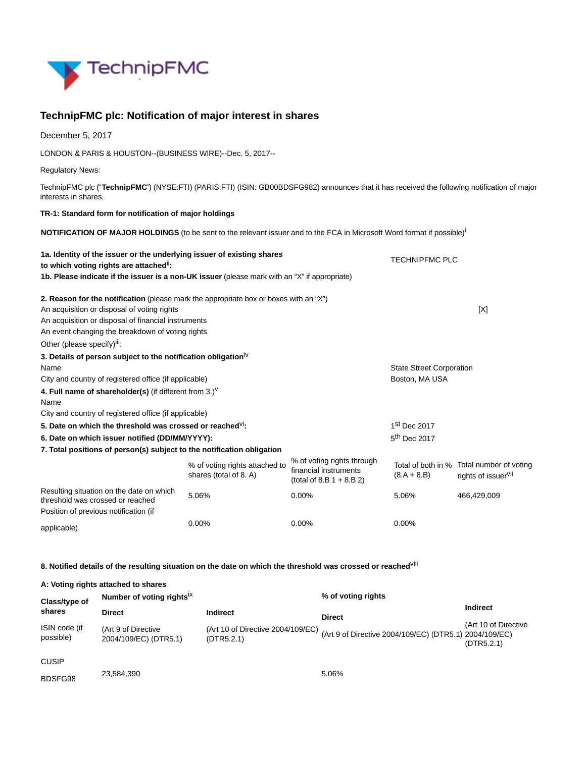

# **TechnipFMC plc: Notification of major interest in shares**

| December 5, 2017                                                                                                                                                                                                                                                                           |                                                          |                                                                                    |                                                   |                                                                              |
|--------------------------------------------------------------------------------------------------------------------------------------------------------------------------------------------------------------------------------------------------------------------------------------------|----------------------------------------------------------|------------------------------------------------------------------------------------|---------------------------------------------------|------------------------------------------------------------------------------|
| LONDON & PARIS & HOUSTON--(BUSINESS WIRE)--Dec. 5, 2017--                                                                                                                                                                                                                                  |                                                          |                                                                                    |                                                   |                                                                              |
| <b>Regulatory News:</b>                                                                                                                                                                                                                                                                    |                                                          |                                                                                    |                                                   |                                                                              |
| TechnipFMC plc ("TechnipFMC") (NYSE:FTI) (PARIS:FTI) (ISIN: GB00BDSFG982) announces that it has received the following notification of major<br>interests in shares.                                                                                                                       |                                                          |                                                                                    |                                                   |                                                                              |
| TR-1: Standard form for notification of major holdings                                                                                                                                                                                                                                     |                                                          |                                                                                    |                                                   |                                                                              |
| <b>NOTIFICATION OF MAJOR HOLDINGS</b> (to be sent to the relevant issuer and to the FCA in Microsoft Word format if possible) <sup>1</sup>                                                                                                                                                 |                                                          |                                                                                    |                                                   |                                                                              |
| 1a. Identity of the issuer or the underlying issuer of existing shares<br>to which voting rights are attached":<br>1b. Please indicate if the issuer is a non-UK issuer (please mark with an "X" if appropriate)                                                                           |                                                          |                                                                                    | <b>TECHNIPFMC PLC</b>                             |                                                                              |
| 2. Reason for the notification (please mark the appropriate box or boxes with an "X")<br>An acquisition or disposal of voting rights<br>An acquisition or disposal of financial instruments<br>An event changing the breakdown of voting rights<br>Other (please specify) <sup>iii</sup> : |                                                          |                                                                                    |                                                   | [X]                                                                          |
| 3. Details of person subject to the notification obligation <sup>iv</sup><br>Name<br>City and country of registered office (if applicable)<br>4. Full name of shareholder(s) (if different from $3.$ ) $V$<br>Name                                                                         |                                                          |                                                                                    | <b>State Street Corporation</b><br>Boston, MA USA |                                                                              |
| City and country of registered office (if applicable)<br>5. Date on which the threshold was crossed or reached <sup>VI</sup> :                                                                                                                                                             |                                                          |                                                                                    | 1 <sup>st</sup> Dec 2017                          |                                                                              |
| 6. Date on which issuer notified (DD/MM/YYYY):                                                                                                                                                                                                                                             |                                                          |                                                                                    | 5 <sup>th</sup> Dec 2017                          |                                                                              |
| 7. Total positions of person(s) subject to the notification obligation                                                                                                                                                                                                                     |                                                          |                                                                                    |                                                   |                                                                              |
|                                                                                                                                                                                                                                                                                            | % of voting rights attached to<br>shares (total of 8. A) | % of voting rights through<br>financial instruments<br>(total of 8.B $1 + 8.B 2$ ) | $(8.A + 8.B)$                                     | Total of both in % Total number of voting<br>rights of issuer <sup>vii</sup> |
| Resulting situation on the date on which<br>threshold was crossed or reached<br>Position of previous notification (if                                                                                                                                                                      | 5.06%                                                    | $0.00\%$                                                                           | 5.06%                                             | 466,429,009                                                                  |
| applicable)                                                                                                                                                                                                                                                                                | 0.00%                                                    | 0.00%                                                                              | 0.00%                                             |                                                                              |
|                                                                                                                                                                                                                                                                                            |                                                          |                                                                                    |                                                   |                                                                              |
| 8. Notified details of the resulting situation on the date on which the threshold was crossed or reached <sup>viii</sup>                                                                                                                                                                   |                                                          |                                                                                    |                                                   |                                                                              |

|                            | A: Voting rights attached to shares                 |                                                 |                                                        |                                    |  |
|----------------------------|-----------------------------------------------------|-------------------------------------------------|--------------------------------------------------------|------------------------------------|--|
| Class/type of<br>shares    | Number of voting rights <sup><math> X </math></sup> |                                                 | % of voting rights                                     |                                    |  |
|                            | <b>Direct</b>                                       | <b>Indirect</b>                                 | <b>Direct</b>                                          | Indirect                           |  |
| ISIN code (if<br>possible) | (Art 9 of Directive<br>2004/109/EC) (DTR5.1)        | (Art 10 of Directive 2004/109/EC)<br>(DTR5.2.1) | (Art 9 of Directive 2004/109/EC) (DTR5.1) 2004/109/EC) | (Art 10 of Directive<br>(DTR5.2.1) |  |
| <b>CUSIP</b>               |                                                     |                                                 |                                                        |                                    |  |

BDSFG98 23,584,390 23,584,390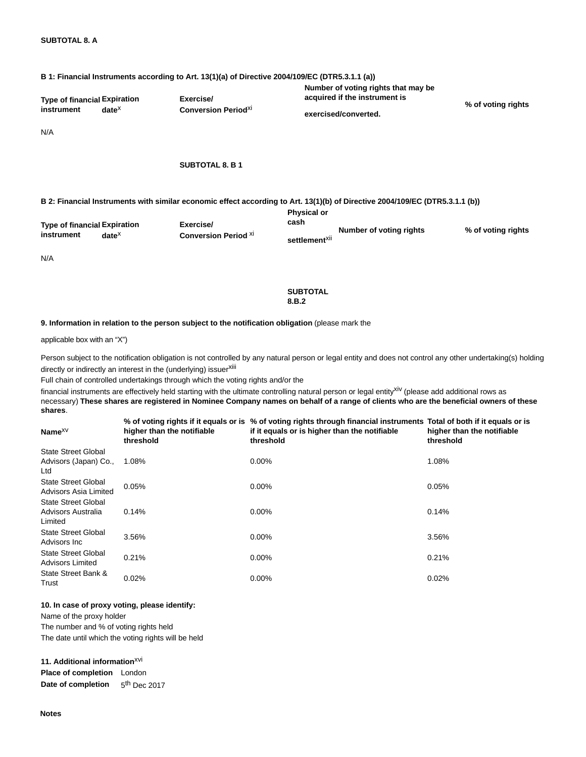### **B 1: Financial Instruments according to Art. 13(1)(a) of Directive 2004/109/EC (DTR5.3.1.1 (a))**

| <b>Type of financial Expiration</b><br>instrument | $date^x$ | Exercise/<br><b>Conversion PeriodXI</b> | Number of voting rights that may be<br>acquired if the instrument is<br>exercised/converted. | % of voting rights |
|---------------------------------------------------|----------|-----------------------------------------|----------------------------------------------------------------------------------------------|--------------------|
| <b>AIA</b>                                        |          |                                         |                                                                                              |                    |

N/A

## **SUBTOTAL 8. B 1**

**B 2: Financial Instruments with similar economic effect according to Art. 13(1)(b) of Directive 2004/109/EC (DTR5.3.1.1 (b))**

| <b>Type of financial Expiration</b> |          | Exercise/                   | Physical or<br>cash       | % of voting rights<br>Number of voting rights |  |
|-------------------------------------|----------|-----------------------------|---------------------------|-----------------------------------------------|--|
| instrument                          | $date^x$ | <b>Conversion Period XI</b> | settlement <sup>Xii</sup> |                                               |  |

N/A

**SUBTOTAL 8.B.2**

**Physical or**

#### **9. Information in relation to the person subject to the notification obligation** (please mark the

applicable box with an "X")

Person subject to the notification obligation is not controlled by any natural person or legal entity and does not control any other undertaking(s) holding directly or indirectly an interest in the (underlying) issuer<sup>xiii</sup>

Full chain of controlled undertakings through which the voting rights and/or the

financial instruments are effectively held starting with the ultimate controlling natural person or legal entity<sup>xiv</sup> (please add additional rows as necessary) **These shares are registered in Nominee Company names on behalf of a range of clients who are the beneficial owners of these shares**.

| Name $XV$                                             | higher than the notifiable<br>threshold | % of voting rights if it equals or is % of voting rights through financial instruments Total of both if it equals or is<br>if it equals or is higher than the notifiable<br>threshold | higher than the notifiable<br>threshold |
|-------------------------------------------------------|-----------------------------------------|---------------------------------------------------------------------------------------------------------------------------------------------------------------------------------------|-----------------------------------------|
| <b>State Street Global</b>                            |                                         |                                                                                                                                                                                       |                                         |
| Advisors (Japan) Co.,<br>Ltd                          | 1.08%                                   | $0.00\%$                                                                                                                                                                              | 1.08%                                   |
| <b>State Street Global</b><br>Advisors Asia Limited   | 0.05%                                   | $0.00\%$                                                                                                                                                                              | 0.05%                                   |
| <b>State Street Global</b>                            |                                         |                                                                                                                                                                                       |                                         |
| Advisors Australia<br>Limited                         | 0.14%                                   | $0.00\%$                                                                                                                                                                              | 0.14%                                   |
| <b>State Street Global</b><br>Advisors Inc            | 3.56%                                   | $0.00\%$                                                                                                                                                                              | 3.56%                                   |
| <b>State Street Global</b><br><b>Advisors Limited</b> | 0.21%                                   | $0.00\%$                                                                                                                                                                              | 0.21%                                   |
| State Street Bank &<br>Trust                          | 0.02%                                   | $0.00\%$                                                                                                                                                                              | 0.02%                                   |

#### **10. In case of proxy voting, please identify:**

Name of the proxy holder

The number and % of voting rights held

The date until which the voting rights will be held

#### **11. Additional information**xvi

**Place of completion** London Date of completion 5<sup>th</sup> Dec 2017

**Notes**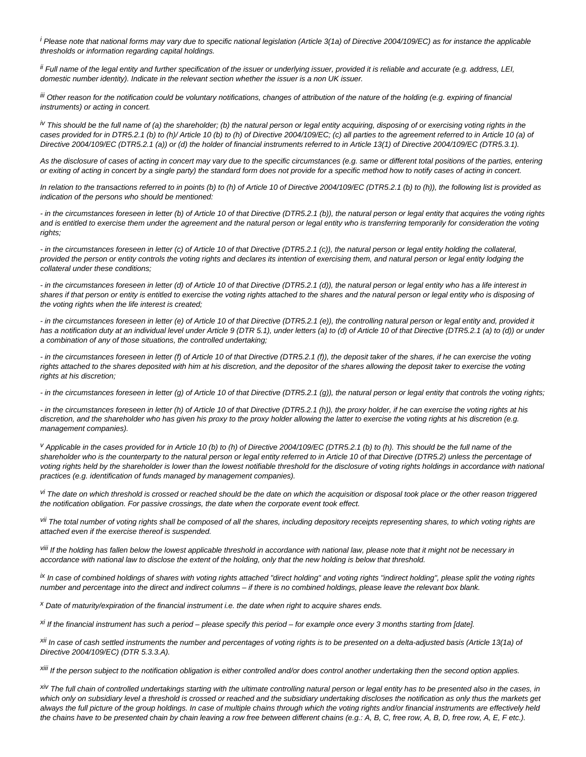<sup>i</sup> Please note that national forms may vary due to specific national legislation (Article 3(1a) of Directive 2004/109/EC) as for instance the applicable thresholds or information regarding capital holdings.

<sup>ii</sup> Full name of the legal entity and further specification of the issuer or underlying issuer, provided it is reliable and accurate (e.g. address, LEI, domestic number identity). Indicate in the relevant section whether the issuer is a non UK issuer.

iii Other reason for the notification could be voluntary notifications, changes of attribution of the nature of the holding (e.g. expiring of financial instruments) or acting in concert.

<sup>iv</sup> This should be the full name of (a) the shareholder; (b) the natural person or legal entity acquiring, disposing of or exercising voting rights in the cases provided for in DTR5.2.1 (b) to (h)/ Article 10 (b) to (h) of Directive 2004/109/EC; (c) all parties to the agreement referred to in Article 10 (a) of Directive 2004/109/EC (DTR5.2.1 (a)) or (d) the holder of financial instruments referred to in Article 13(1) of Directive 2004/109/EC (DTR5.3.1).

As the disclosure of cases of acting in concert may vary due to the specific circumstances (e.g. same or different total positions of the parties, entering or exiting of acting in concert by a single party) the standard form does not provide for a specific method how to notify cases of acting in concert.

In relation to the transactions referred to in points (b) to (h) of Article 10 of Directive 2004/109/EC (DTR5.2.1 (b) to (h)), the following list is provided as indication of the persons who should be mentioned:

- in the circumstances foreseen in letter (b) of Article 10 of that Directive (DTR5.2.1 (b)), the natural person or legal entity that acquires the voting rights and is entitled to exercise them under the agreement and the natural person or legal entity who is transferring temporarily for consideration the voting rights;

- in the circumstances foreseen in letter (c) of Article 10 of that Directive (DTR5.2.1 (c)), the natural person or legal entity holding the collateral, provided the person or entity controls the voting rights and declares its intention of exercising them, and natural person or legal entity lodging the collateral under these conditions;

- in the circumstances foreseen in letter (d) of Article 10 of that Directive (DTR5.2.1 (d)), the natural person or legal entity who has a life interest in shares if that person or entity is entitled to exercise the voting rights attached to the shares and the natural person or legal entity who is disposing of the voting rights when the life interest is created;

- in the circumstances foreseen in letter (e) of Article 10 of that Directive (DTR5.2.1 (e)), the controlling natural person or legal entity and, provided it has a notification duty at an individual level under Article 9 (DTR 5.1), under letters (a) to (d) of Article 10 of that Directive (DTR5.2.1 (a) to (d)) or under a combination of any of those situations, the controlled undertaking;

- in the circumstances foreseen in letter (f) of Article 10 of that Directive (DTR5.2.1 (f)), the deposit taker of the shares, if he can exercise the voting rights attached to the shares deposited with him at his discretion, and the depositor of the shares allowing the deposit taker to exercise the voting rights at his discretion;

- in the circumstances foreseen in letter (g) of Article 10 of that Directive (DTR5.2.1 (g)), the natural person or legal entity that controls the voting rights;

- in the circumstances foreseen in letter (h) of Article 10 of that Directive (DTR5.2.1 (h)), the proxy holder, if he can exercise the voting rights at his discretion, and the shareholder who has given his proxy to the proxy holder allowing the latter to exercise the voting rights at his discretion (e.g. management companies).

v Applicable in the cases provided for in Article 10 (b) to (h) of Directive 2004/109/EC (DTR5.2.1 (b) to (h). This should be the full name of the shareholder who is the counterparty to the natural person or legal entity referred to in Article 10 of that Directive (DTR5.2) unless the percentage of voting rights held by the shareholder is lower than the lowest notifiable threshold for the disclosure of voting rights holdings in accordance with national practices (e.g. identification of funds managed by management companies).

vi The date on which threshold is crossed or reached should be the date on which the acquisition or disposal took place or the other reason triggered the notification obligation. For passive crossings, the date when the corporate event took effect.

vii The total number of voting rights shall be composed of all the shares, including depository receipts representing shares, to which voting rights are attached even if the exercise thereof is suspended.

<sup>viii</sup> If the holding has fallen below the lowest applicable threshold in accordance with national law, please note that it might not be necessary in accordance with national law to disclose the extent of the holding, only that the new holding is below that threshold.

<sup>ix</sup> In case of combined holdings of shares with voting rights attached "direct holding" and voting rights "indirect holding", please split the voting rights number and percentage into the direct and indirect columns – if there is no combined holdings, please leave the relevant box blank.

<sup>x</sup> Date of maturity/expiration of the financial instrument i.e. the date when right to acquire shares ends.

 $x<sup>j</sup>$  If the financial instrument has such a period – please specify this period – for example once every 3 months starting from [date].

<sup>xii</sup> In case of cash settled instruments the number and percentages of voting rights is to be presented on a delta-adjusted basis (Article 13(1a) of Directive 2004/109/EC) (DTR 5.3.3.A).

<sup>xiii</sup> If the person subject to the notification obligation is either controlled and/or does control another undertaking then the second option applies.

xiv The full chain of controlled undertakings starting with the ultimate controlling natural person or legal entity has to be presented also in the cases, in which only on subsidiary level a threshold is crossed or reached and the subsidiary undertaking discloses the notification as only thus the markets get always the full picture of the group holdings. In case of multiple chains through which the voting rights and/or financial instruments are effectively held the chains have to be presented chain by chain leaving a row free between different chains (e.g.: A, B, C, free row, A, B, D, free row, A, E, F etc.).